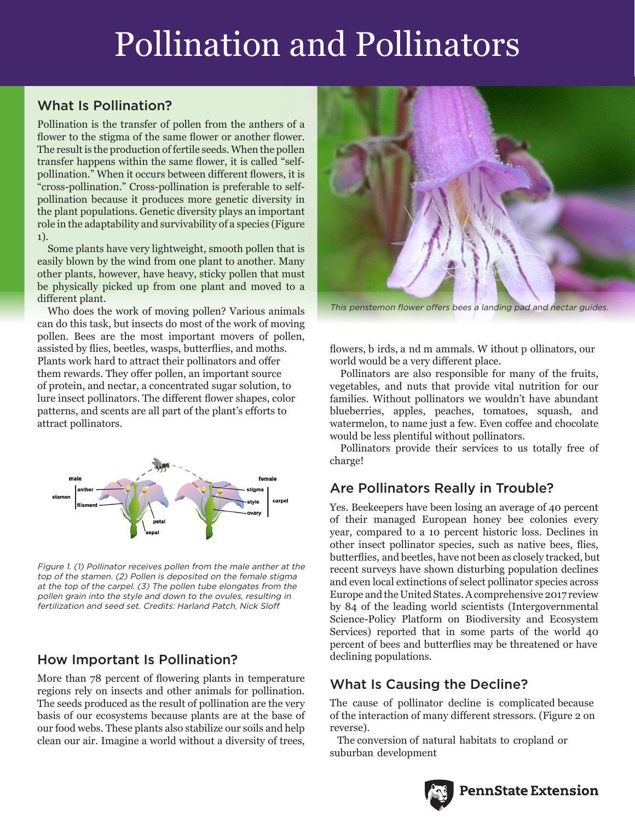## Pollination and Pollinators

#### What Is Pollination?

Pollination is the transfer of pollen from the anthers of a flower to the stigma of the same flower or another flower. The result is the production of fertile seeds. When the pollen transfer happens within the same flower, it is called "selfpollination." When it occurs between different flowers, it is "cross-pollination." Cross-pollination is preferable to selfpollination because it produces more genetic diversity in the plant populations. Genetic diversity plays an important role in the adaptability and survivability of a species (Figure 1).

Some plants have very lightweight, smooth pollen that is easily blown by the wind from one plant to another. Many other plants, however, have heavy, sticky pollen that must be physically picked up from one plant and moved to a different plant.

Who does the work of moving pollen? Various animals can do this task, but insects do most of the work of moving pollen. Bees are the most important movers of pollen, assisted by flies, beetles, wasps, butterflies, and moths. Plants work hard to attract their pollinators and offer them rewards. They offer pollen, an important source of protein, and nectar, a concentrated sugar solution, to lure insect pollinators. The different flower shapes, color patterns, and scents are all part of the plant's efforts to attract pollinators.



Figure 1. (1) Pollinator receives pollen from the male anther at the top of the stamen. (2) Pollen is deposited on the female stigma at the top of the carpel. (3) The pollen tube elongates from the pollen grain into the style and down to the ovules, resulting in fertilization and seed set. Credits: Harland Patch, Nick Sloff

#### How Important Is Pollination?

More than 78 percent of flowering plants in temperature regions rely on insects and other animals for pollination. The seeds produced as the result of pollination are the very basis of our ecosystems because plants are at the base of our food webs. These plants also stabilize our soils and help clean our air. Imagine a world without a diversity of trees,



This penstemon flower offers bees a landing pad and nectar guides.

flowers, b irds, a nd m ammals. W ithout p ollinators, our world would be a very different place.

Pollinators are also responsible for many of the fruits, vegetables, and nuts that provide vital nutrition for our families. Without pollinators we wouldn't have abundant blueberries, apples, peaches, tomatoes, squash, and watermelon, to name just a few. Even coffee and chocolate would be less plentiful without pollinators.

Pollinators provide their services to us totally free of charge!

### Are Pollinators Really in Trouble?

Yes. Beekeepers have been losing an average of 40 percent of their managed European honey bee colonies every year, compared to a 10 percent historic loss. Declines in other insect pollinator species, such as native bees, flies, butterflies, and beetles, have not been as closely tracked, but recent surveys have shown disturbing population declines and even local extinctions of select pollinator species across Europe and the United States. A comprehensive 2017 review by 84 of the leading world scientists (Intergovernmental Science-Policy Platform on Biodiversity and Ecosystem Services) reported that in some parts of the world 40 percent of bees and butterflies may be threatened or have declining populations.

#### What Is Causing the Decline?

The cause of pollinator decline is complicated because of the interaction of many different stressors. (Figure 2 on reverse).

 The conversion of natural habitats to cropland or suburban development